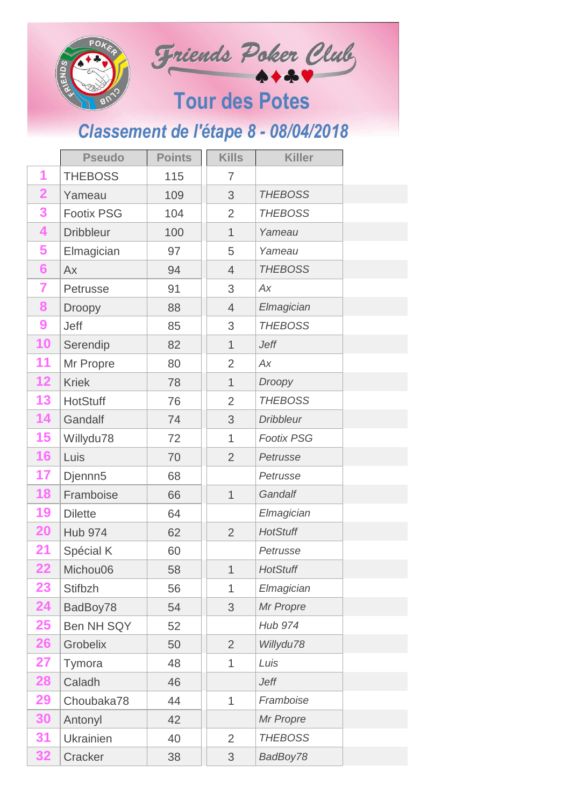|                 | <b>JENDS</b>        |               |                | Friends Poker Club<br><b>Tour des Potes</b> |
|-----------------|---------------------|---------------|----------------|---------------------------------------------|
|                 |                     |               |                | Classement de l'étape 8 - 08/04/2018        |
|                 | <b>Pseudo</b>       | <b>Points</b> | <b>Kills</b>   | <b>Killer</b>                               |
| 1               | <b>THEBOSS</b>      | 115           | 7              |                                             |
| $\overline{2}$  | Yameau              | 109           | 3              | <b>THEBOSS</b>                              |
| 3               | <b>Footix PSG</b>   | 104           | $\overline{2}$ | <b>THEBOSS</b>                              |
| 4               | <b>Dribbleur</b>    | 100           | $\mathbf 1$    | Yameau                                      |
| 5               | Elmagician          | 97            | 5              | Yameau                                      |
| $6\phantom{1}6$ | Ax                  | 94            | 4              | <b>THEBOSS</b>                              |
| 7               | Petrusse            | 91            | 3              | Аx                                          |
| 8               | <b>Droopy</b>       | 88            | $\overline{4}$ | Elmagician                                  |
| 9               | <b>Jeff</b>         | 85            | 3              | <b>THEBOSS</b>                              |
| 10              | Serendip            | 82            | $\mathbf 1$    | <b>Jeff</b>                                 |
| 11              | Mr Propre           | 80            | $\overline{2}$ | Ax                                          |
| 12              | <b>Kriek</b>        | 78            | 1              | Droopy                                      |
| 13              | <b>HotStuff</b>     | 76            | $\overline{2}$ | <b>THEBOSS</b>                              |
| 14              | Gandalf             | 74            | 3              | <b>Dribbleur</b>                            |
| 15              | Willydu78           | 72            | 1              | <b>Footix PSG</b>                           |
| 16              | Luis                | 70            | $\overline{2}$ | Petrusse                                    |
| 17              | Djennn <sub>5</sub> | 68            |                | Petrusse                                    |
| 18              | Framboise           | 66            | $\mathbf 1$    | Gandalf                                     |
| 19              | <b>Dilette</b>      | 64            |                | Elmagician                                  |
| <b>20</b>       | <b>Hub 974</b>      | 62            | $\overline{2}$ | <b>HotStuff</b>                             |
| 21              | Spécial K           | 60            |                | Petrusse                                    |
| 22              | Michou06            | 58            | $\mathbf{1}$   | <b>HotStuff</b>                             |
| 23              | <b>Stifbzh</b>      | 56            | 1              | Elmagician                                  |
| 24              | BadBoy78            | 54            | 3              | Mr Propre                                   |
| 25              | <b>Ben NH SQY</b>   | 52            |                | <b>Hub 974</b>                              |
| 26              | Grobelix            | 50            | $\overline{2}$ | Willydu78                                   |
| 27              | Tymora              | 48            | 1              | Luis                                        |
| <b>28</b>       | Caladh              | 46            |                | Jeff                                        |
| 29              | Choubaka78          | 44            | 1              | Framboise                                   |
| 30              | Antonyl             | 42            |                | Mr Propre                                   |
| 31              | <b>Ukrainien</b>    | 40            | $\overline{2}$ | <b>THEBOSS</b>                              |
| 32              | Cracker             | 38            | 3              | BadBoy78                                    |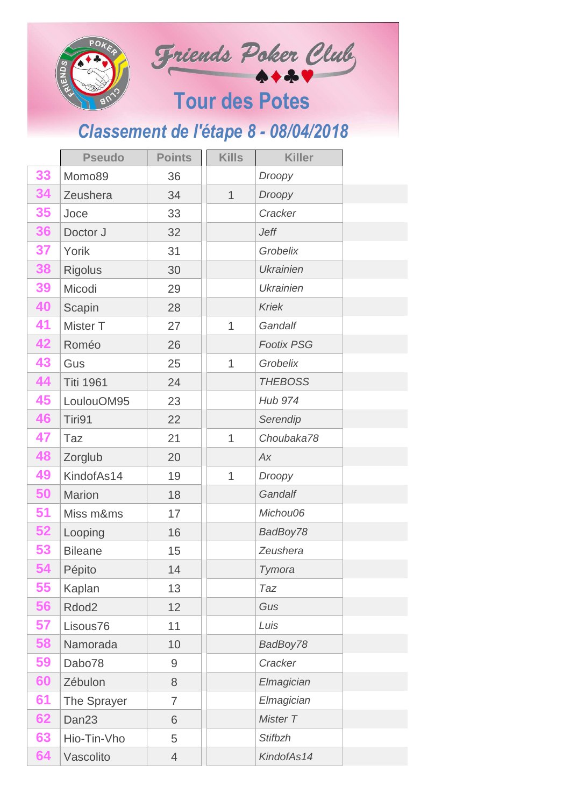|    |                                      |                |              | Friends Poker Club    |  |  |
|----|--------------------------------------|----------------|--------------|-----------------------|--|--|
|    | <b>SONEY</b>                         |                |              | <b>Tour des Potes</b> |  |  |
|    | Classement de l'étape 8 - 08/04/2018 |                |              |                       |  |  |
|    | <b>Pseudo</b>                        | <b>Points</b>  | <b>Kills</b> | <b>Killer</b>         |  |  |
| 33 | Momo89                               | 36             |              | Droopy                |  |  |
| 34 | Zeushera                             | 34             | $\mathbf 1$  | Droopy                |  |  |
| 35 | Joce                                 | 33             |              | Cracker               |  |  |
| 36 | Doctor J                             | 32             |              | <b>Jeff</b>           |  |  |
| 37 | Yorik                                | 31             |              | Grobelix              |  |  |
| 38 | <b>Rigolus</b>                       | 30             |              | <b>Ukrainien</b>      |  |  |
| 39 | Micodi                               | 29             |              | <b>Ukrainien</b>      |  |  |
| 40 | Scapin                               | 28             |              | <b>Kriek</b>          |  |  |
| 41 | Mister T                             | 27             | 1            | Gandalf               |  |  |
| 42 | Roméo                                | 26             |              | <b>Footix PSG</b>     |  |  |
| 43 | Gus                                  | 25             | 1            | Grobelix              |  |  |
| 44 | <b>Titi 1961</b>                     | 24             |              | <b>THEBOSS</b>        |  |  |
| 45 | LoulouOM95                           | 23             |              | <b>Hub 974</b>        |  |  |
| 46 | Tiri91                               | 22             |              | Serendip              |  |  |
| 47 | Taz                                  | 21             | 1            | Choubaka78            |  |  |
| 48 | Zorglub                              | 20             |              | Ax                    |  |  |
| 49 | KindofAs14                           | 19             | 1            | Droopy                |  |  |
| 50 | <b>Marion</b>                        | 18             |              | Gandalf               |  |  |
| 51 | Miss m&ms                            | 17             |              | Michou06              |  |  |
| 52 | Looping                              | 16             |              | BadBoy78              |  |  |
| 53 | <b>Bileane</b>                       | 15             |              | Zeushera              |  |  |
| 54 | Pépito                               | 14             |              | Tymora                |  |  |
| 55 | Kaplan                               | 13             |              | Taz                   |  |  |
| 56 | Rdod <sub>2</sub>                    | 12             |              | Gus                   |  |  |
| 57 | Lisous76                             | 11             |              | Luis                  |  |  |
| 58 | Namorada                             | 10             |              | BadBoy78              |  |  |
| 59 | Dabo78                               | 9              |              | Cracker               |  |  |
| 60 | Zébulon                              | 8              |              | Elmagician            |  |  |
| 61 | The Sprayer                          | 7              |              | Elmagician            |  |  |
| 62 | Dan <sub>23</sub>                    | 6              |              | Mister T              |  |  |
| 63 | Hio-Tin-Vho                          | 5              |              | <b>Stifbzh</b>        |  |  |
| 64 | Vascolito                            | $\overline{4}$ |              | KindofAs14            |  |  |

 $\sim$